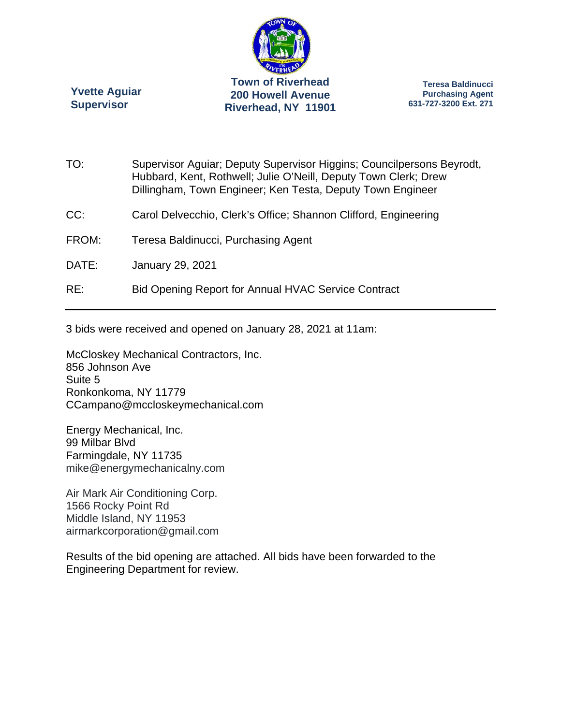

**Yvette Aguiar Supervisor** 

**Teresa Baldinucci Purchasing Agent 631-727-3200 Ext. 271** 

| TO:   | Supervisor Aguiar; Deputy Supervisor Higgins; Councilpersons Beyrodt,<br>Hubbard, Kent, Rothwell; Julie O'Neill, Deputy Town Clerk; Drew<br>Dillingham, Town Engineer; Ken Testa, Deputy Town Engineer |
|-------|--------------------------------------------------------------------------------------------------------------------------------------------------------------------------------------------------------|
| CC:   | Carol Delvecchio, Clerk's Office; Shannon Clifford, Engineering                                                                                                                                        |
| FROM: | Teresa Baldinucci, Purchasing Agent                                                                                                                                                                    |
| DATE: | <b>January 29, 2021</b>                                                                                                                                                                                |
| RE:   | <b>Bid Opening Report for Annual HVAC Service Contract</b>                                                                                                                                             |

3 bids were received and opened on January 28, 2021 at 11am:

McCloskey Mechanical Contractors, Inc. 856 Johnson Ave Suite 5 Ronkonkoma, NY 11779 CCampano@mccloskeymechanical.com

Energy Mechanical, Inc. 99 Milbar Blvd Farmingdale, NY 11735 mike@energymechanicalny.com

Air Mark Air Conditioning Corp. 1566 Rocky Point Rd Middle Island, NY 11953 airmarkcorporation@gmail.com

Results of the bid opening are attached. All bids have been forwarded to the Engineering Department for review.